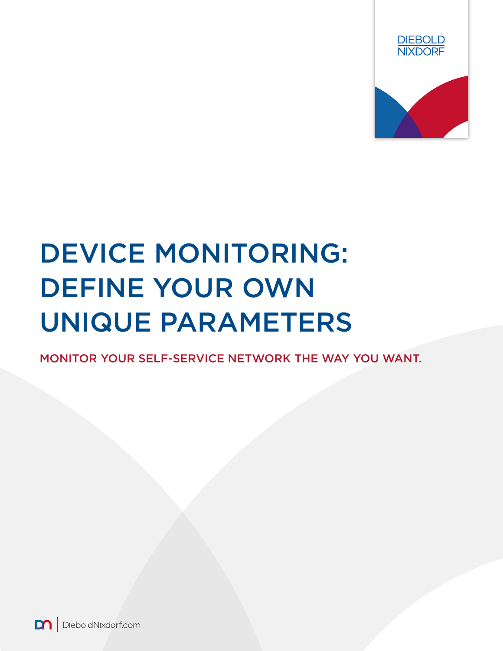

# DEVICE MONITORING: DEFINE YOUR OWN UNIQUE PARAMETERS

MONITOR YOUR SELF-SERVICE NETWORK THE WAY YOU WANT.

m DieboldNixdorf.com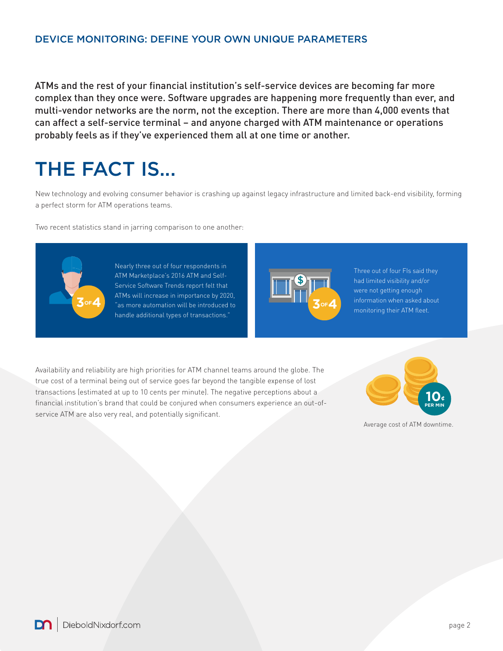## DEVICE MONITORING: DEFINE YOUR OWN UNIQUE PARAMETERS

ATMs and the rest of your financial institution's self-service devices are becoming far more complex than they once were. Software upgrades are happening more frequently than ever, and multi-vendor networks are the norm, not the exception. There are more than 4,000 events that can affect a self-service terminal – and anyone charged with ATM maintenance or operations probably feels as if they've experienced them all at one time or another.

## THE FACT IS...

New technology and evolving consumer behavior is crashing up against legacy infrastructure and limited back-end visibility, forming a perfect storm for ATM operations teams.

Two recent statistics stand in jarring comparison to one another:



Nearly three out of four respondents in ATM Marketplace's 2016 ATM and Self-Service Software Trends report felt that ATMs will increase in importance by 2020, **3<sup>OF4</sup>** <sup>2</sup> **as more automation will be introduced to <b>30 and 30 and 30 and 30 and 30 and 30 and 30 and 30 and 30 and 30 and 30 and 30 and 30 and 30 and 30 and 30 and 30 and 30 and 30 and 30 and 30 and 30 and 30 and 30 an** handle additional types of transactions."



Three out of four FIs said they had limited visibility and/or were not getting enough information when asked about monitoring their ATM fleet.

Availability and reliability are high priorities for ATM channel teams around the globe. The true cost of a terminal being out of service goes far beyond the tangible expense of lost transactions (estimated at up to 10 cents per minute). The negative perceptions about a financial institution's brand that could be conjured when consumers experience an out-ofservice ATM are also very real, and potentially significant.



Average cost of ATM downtime.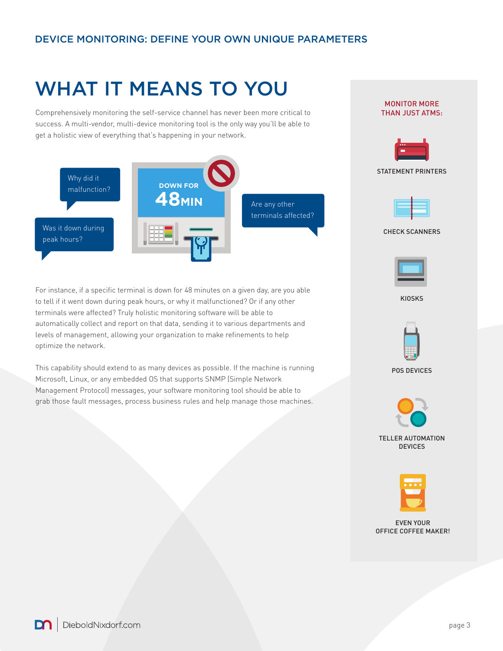# WHAT IT MEANS TO YOU

Comprehensively monitoring the self-service channel has never been more critical to success. A multi-vendor, multi-device monitoring tool is the only way you'll be able to get a holistic view of everything that's happening in your network.



For instance, if a specific terminal is down for 48 minutes on a given day, are you able to tell if it went down during peak hours, or why it malfunctioned? Or if any other terminals were affected? Truly holistic monitoring software will be able to automatically collect and report on that data, sending it to various departments and levels of management, allowing your organization to make refinements to help optimize the network.

This capability should extend to as many devices as possible. If the machine is running Microsoft, Linux, or any embedded OS that supports SNMP (Simple Network Management Protocol) messages, your software monitoring tool should be able to grab those fault messages, process business rules and help manage those machines.



MONITOR MORE

POS DEVICES



TELLER AUTOMATION **DEVICES** 



EVEN YOUR OFFICE COFFEE MAKER!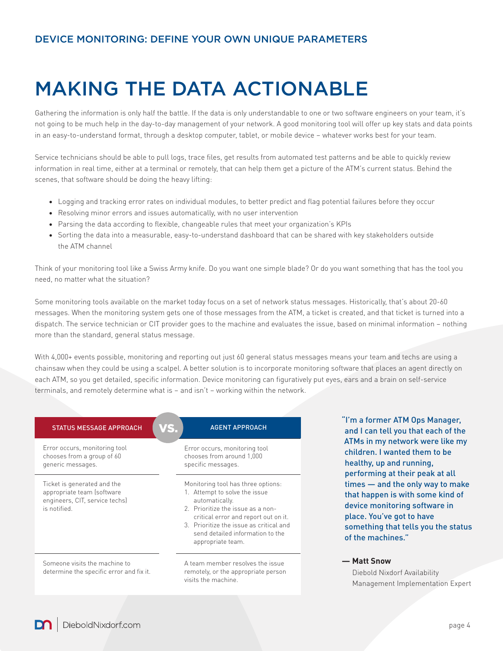# MAKING THE DATA ACTIONABLE

Gathering the information is only half the battle. If the data is only understandable to one or two software engineers on your team, it's not going to be much help in the day-to-day management of your network. A good monitoring tool will offer up key stats and data points in an easy-to-understand format, through a desktop computer, tablet, or mobile device – whatever works best for your team.

Service technicians should be able to pull logs, trace files, get results from automated test patterns and be able to quickly review information in real time, either at a terminal or remotely, that can help them get a picture of the ATM's current status. Behind the scenes, that software should be doing the heavy lifting:

- Logging and tracking error rates on individual modules, to better predict and flag potential failures before they occur
- Resolving minor errors and issues automatically, with no user intervention
- Parsing the data according to flexible, changeable rules that meet your organization's KPIs
- Sorting the data into a measurable, easy-to-understand dashboard that can be shared with key stakeholders outside the ATM channel

Think of your monitoring tool like a Swiss Army knife. Do you want one simple blade? Or do you want something that has the tool you need, no matter what the situation?

Some monitoring tools available on the market today focus on a set of network status messages. Historically, that's about 20-60 messages. When the monitoring system gets one of those messages from the ATM, a ticket is created, and that ticket is turned into a dispatch. The service technician or CIT provider goes to the machine and evaluates the issue, based on minimal information – nothing more than the standard, general status message.

With 4,000+ events possible, monitoring and reporting out just 60 general status messages means your team and techs are using a chainsaw when they could be using a scalpel. A better solution is to incorporate monitoring software that places an agent directly on each ATM, so you get detailed, specific information. Device monitoring can figuratively put eyes, ears and a brain on self-service terminals, and remotely determine what is – and isn't – working within the network.

| <b>STATUS MESSAGE APPROACH</b>                                                                              | 'S<br><b>AGENT APPROACH</b>                                                                                                                                                                                                                                            |
|-------------------------------------------------------------------------------------------------------------|------------------------------------------------------------------------------------------------------------------------------------------------------------------------------------------------------------------------------------------------------------------------|
| Error occurs, monitoring tool<br>chooses from a group of 60<br>generic messages.                            | Error occurs, monitoring tool<br>chooses from around 1,000<br>specific messages.                                                                                                                                                                                       |
| Ticket is generated and the<br>appropriate team (software<br>engineers, CIT, service techs)<br>is notified. | Monitoring tool has three options:<br>1. Attempt to solve the issue<br>automatically.<br>2. Prioritize the issue as a non-<br>critical error and report out on it.<br>3. Prioritize the issue as critical and<br>send detailed information to the<br>appropriate team. |
| Someone visits the machine to<br>determine the specific error and fix it.                                   | A team member resolves the issue<br>remotely, or the appropriate person<br>visits the machine                                                                                                                                                                          |

"I'm a former ATM Ops Manager, and I can tell you that each of the ATMs in my network were like my children. I wanted them to be healthy, up and running, performing at their peak at all times — and the only way to make that happen is with some kind of device monitoring software in place. You've got to have something that tells you the status of the machines."

## **— Matt Snow**

Diebold Nixdorf Availability Management Implementation Expert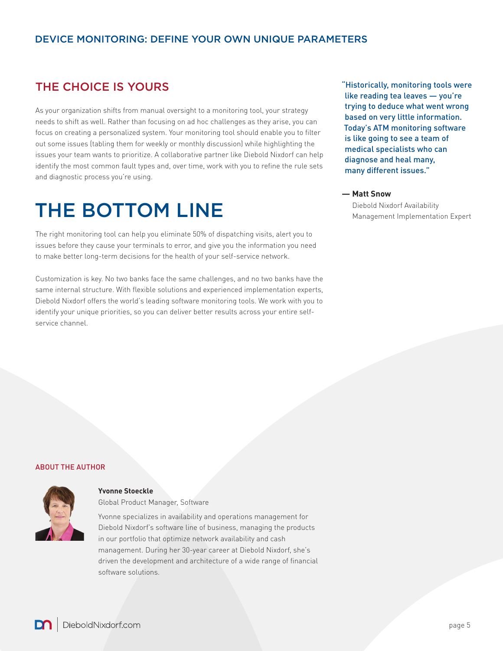## THE CHOICE IS YOURS

As your organization shifts from manual oversight to a monitoring tool, your strategy needs to shift as well. Rather than focusing on ad hoc challenges as they arise, you can focus on creating a personalized system. Your monitoring tool should enable you to filter out some issues (tabling them for weekly or monthly discussion) while highlighting the issues your team wants to prioritize. A collaborative partner like Diebold Nixdorf can help identify the most common fault types and, over time, work with you to refine the rule sets and diagnostic process you're using.

# THE BOTTOM LINE

The right monitoring tool can help you eliminate 50% of dispatching visits, alert you to issues before they cause your terminals to error, and give you the information you need to make better long-term decisions for the health of your self-service network.

Customization is key. No two banks face the same challenges, and no two banks have the same internal structure. With flexible solutions and experienced implementation experts, Diebold Nixdorf offers the world's leading software monitoring tools. We work with you to identify your unique priorities, so you can deliver better results across your entire selfservice channel.

"Historically, monitoring tools were like reading tea leaves — you're trying to deduce what went wrong based on very little information. Today's ATM monitoring software is like going to see a team of medical specialists who can diagnose and heal many, many different issues."

### **— Matt Snow**

Diebold Nixdorf Availability Management Implementation Expert

#### ABOUT THE AUTHOR



### **Yvonne Stoeckle**

Global Product Manager, Software

Yvonne specializes in availability and operations management for Diebold Nixdorf's software line of business, managing the products in our portfolio that optimize network availability and cash management. During her 30-year career at Diebold Nixdorf, she's driven the development and architecture of a wide range of financial software solutions.